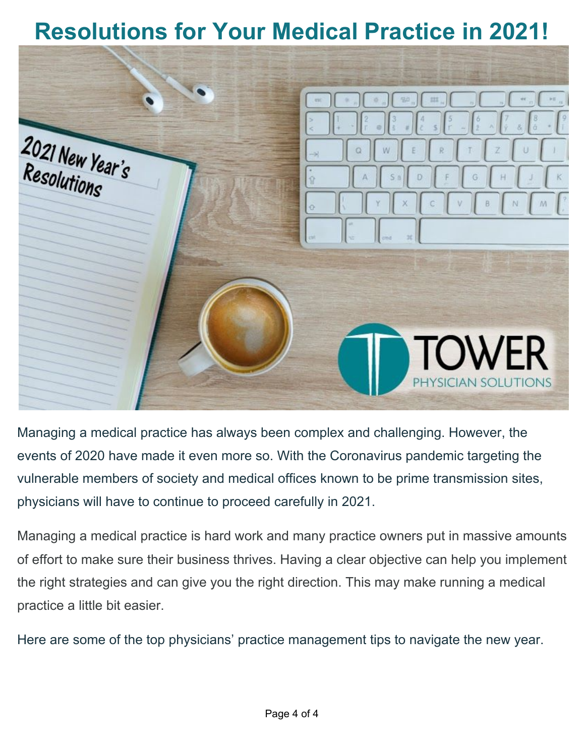# **Resolutions for Your Medical Practice in 2021!**



Managing a medical practice has always been complex and challenging. However, the events of 2020 have made it even more so. With the Coronavirus pandemic targeting the vulnerable members of society and medical offices known to be prime transmission sites, physicians will have to continue to proceed carefully in 2021.

Managing a medical practice is hard work and many practice owners put in massive amounts of effort to make sure their business thrives. Having a clear objective can help you implement the right strategies and can give you the right direction. This may make running a medical practice a little bit easier.

Here are some of the top physicians' practice management tips to navigate the new year.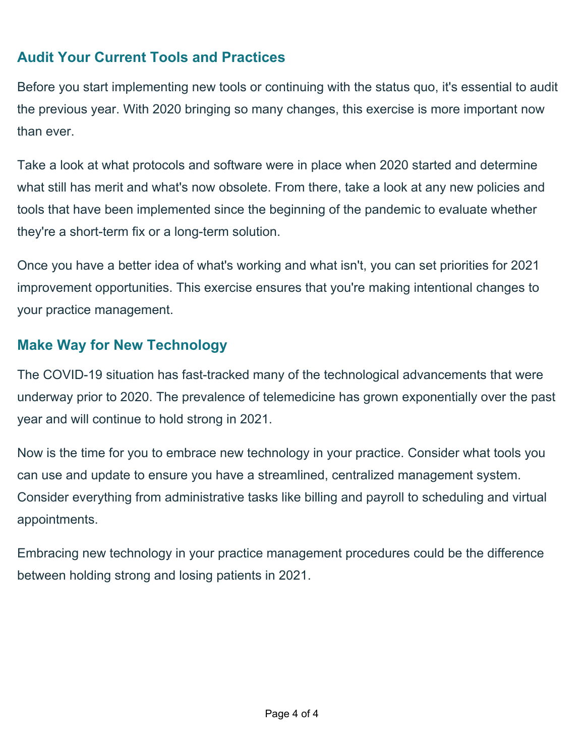## **Audit Your Current Tools and Practices**

Before you start implementing new tools or continuing with the status quo, it's essential to audit the previous year. With 2020 bringing so many changes, this exercise is more important now than ever.

Take a look at what protocols and software were in place when 2020 started and determine what still has merit and what's now obsolete. From there, take a look at any new policies and tools that have been implemented since the beginning of the pandemic to evaluate whether they're a short-term fix or a long-term solution.

Once you have a better idea of what's working and what isn't, you can set priorities for 2021 improvement opportunities. This exercise ensures that you're making intentional changes to your practice management.

#### **Make Way for New Technology**

The COVID-19 situation has fast-tracked many of the technological advancements that were underway prior to 2020. The prevalence of telemedicine has grown exponentially over the past year and will continue to hold strong in 2021.

Now is the time for you to embrace new technology in your practice. Consider what tools you can use and update to ensure you have a streamlined, centralized management system. Consider everything from administrative tasks like billing and payroll to scheduling and virtual appointments.

Embracing new technology in your practice management procedures could be the difference between holding strong and losing patients in 2021.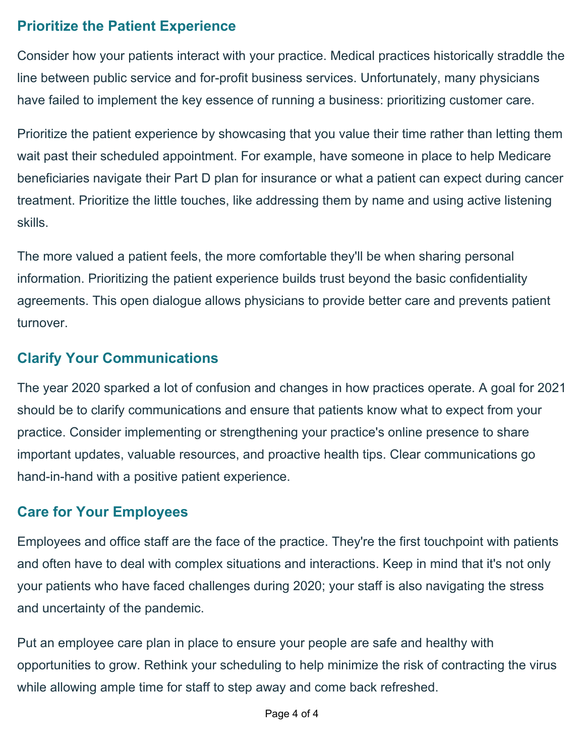### **Prioritize the Patient Experience**

Consider how your patients interact with your practice. Medical practices historically straddle the line between public service and for-profit business services. Unfortunately, many physicians have failed to implement the key essence of running a business: prioritizing customer care.

Prioritize the patient experience by showcasing that you value their time rather than letting them wait past their scheduled appointment. For example, have someone in place to help Medicare beneficiaries navigate their Part D plan for insurance or what a patient can expect during cancer treatment. Prioritize the little touches, like addressing them by name and using active listening skills.

The more valued a patient feels, the more comfortable they'll be when sharing personal information. Prioritizing the patient experience builds trust beyond the basic confidentiality agreements. This open dialogue allows physicians to provide better care and prevents patient turnover.

#### **Clarify Your Communications**

The year 2020 sparked a lot of confusion and changes in how practices operate. A goal for 2021 should be to clarify communications and ensure that patients know what to expect from your practice. Consider implementing or strengthening your practice's online presence to share important updates, valuable resources, and proactive health tips. Clear communications go hand-in-hand with a positive patient experience.

#### **Care for Your Employees**

Employees and office staff are the face of the practice. They're the first touchpoint with patients and often have to deal with complex situations and interactions. Keep in mind that it's not only your patients who have faced challenges during 2020; your staff is also navigating the stress and uncertainty of the pandemic.

Put an employee care plan in place to ensure your people are safe and healthy with opportunities to grow. Rethink your scheduling to help minimize the risk of contracting the virus while allowing ample time for staff to step away and come back refreshed.